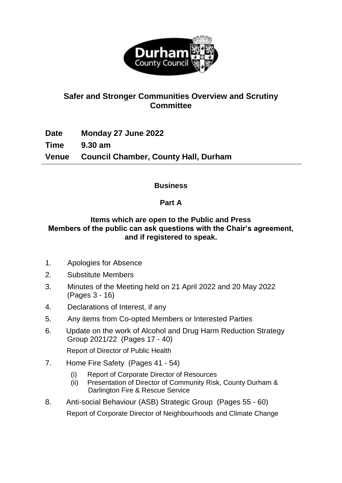

# **Safer and Stronger Communities Overview and Scrutiny Committee**

**Date Monday 27 June 2022 Time 9.30 am Venue Council Chamber, County Hall, Durham**

## **Business**

# **Part A**

### **Items which are open to the Public and Press Members of the public can ask questions with the Chair's agreement, and if registered to speak.**

- 1. Apologies for Absence
- 2. Substitute Members
- 3. Minutes of the Meeting held on 21 April 2022 and 20 May 2022 (Pages 3 - 16)
- 4. Declarations of Interest, if any
- 5. Any items from Co-opted Members or Interested Parties
- 6. Update on the work of Alcohol and Drug Harm Reduction Strategy Group 2021/22 (Pages 17 - 40)

Report of Director of Public Health

- 7. Home Fire Safety (Pages 41 54)
	- (i) Report of Corporate Director of Resources
	- (ii) Presentation of Director of Community Risk, County Durham & Darlington Fire & Rescue Service
- 8. Anti-social Behaviour (ASB) Strategic Group (Pages 55 60) Report of Corporate Director of Neighbourhoods and Climate Change